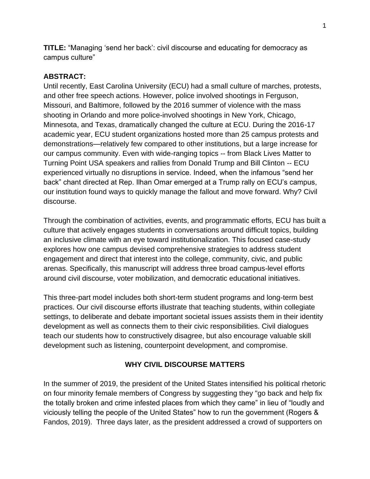**TITLE:** "Managing 'send her back': civil discourse and educating for democracy as campus culture"

## **ABSTRACT:**

Until recently, East Carolina University (ECU) had a small culture of marches, protests, and other free speech actions. However, police involved shootings in Ferguson, Missouri, and Baltimore, followed by the 2016 summer of violence with the mass shooting in Orlando and more police-involved shootings in New York, Chicago, Minnesota, and Texas, dramatically changed the culture at ECU. During the 2016-17 academic year, ECU student organizations hosted more than 25 campus protests and demonstrations—relatively few compared to other institutions, but a large increase for our campus community. Even with wide-ranging topics -- from Black Lives Matter to Turning Point USA speakers and rallies from Donald Trump and Bill Clinton -- ECU experienced virtually no disruptions in service. Indeed, when the infamous "send her back" chant directed at Rep. Ilhan Omar emerged at a Trump rally on ECU's campus, our institution found ways to quickly manage the fallout and move forward. Why? Civil discourse.

Through the combination of activities, events, and programmatic efforts, ECU has built a culture that actively engages students in conversations around difficult topics, building an inclusive climate with an eye toward institutionalization. This focused case-study explores how one campus devised comprehensive strategies to address student engagement and direct that interest into the college, community, civic, and public arenas. Specifically, this manuscript will address three broad campus-level efforts around civil discourse, voter mobilization, and democratic educational initiatives.

This three-part model includes both short-term student programs and long-term best practices. Our civil discourse efforts illustrate that teaching students, within collegiate settings, to deliberate and debate important societal issues assists them in their identity development as well as connects them to their civic responsibilities. Civil dialogues teach our students how to constructively disagree, but also encourage valuable skill development such as listening, counterpoint development, and compromise.

# **WHY CIVIL DISCOURSE MATTERS**

In the summer of 2019, the president of the United States intensified his political rhetoric on four minority female members of Congress by suggesting they "go back and help fix the totally broken and crime infested places from which they came" in lieu of "loudly and viciously telling the people of the United States" how to run the government (Rogers & Fandos, 2019). Three days later, as the president addressed a crowd of supporters on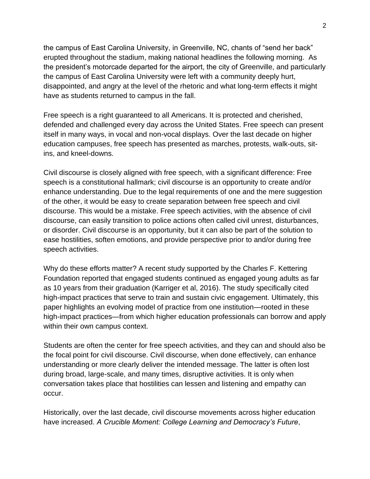the campus of East Carolina University, in Greenville, NC, chants of "send her back" erupted throughout the stadium, making national headlines the following morning. As the president's motorcade departed for the airport, the city of Greenville, and particularly the campus of East Carolina University were left with a community deeply hurt, disappointed, and angry at the level of the rhetoric and what long-term effects it might have as students returned to campus in the fall.

Free speech is a right guaranteed to all Americans. It is protected and cherished, defended and challenged every day across the United States. Free speech can present itself in many ways, in vocal and non-vocal displays. Over the last decade on higher education campuses, free speech has presented as marches, protests, walk-outs, sitins, and kneel-downs.

Civil discourse is closely aligned with free speech, with a significant difference: Free speech is a constitutional hallmark; civil discourse is an opportunity to create and/or enhance understanding. Due to the legal requirements of one and the mere suggestion of the other, it would be easy to create separation between free speech and civil discourse. This would be a mistake. Free speech activities, with the absence of civil discourse, can easily transition to police actions often called civil unrest, disturbances, or disorder. Civil discourse is an opportunity, but it can also be part of the solution to ease hostilities, soften emotions, and provide perspective prior to and/or during free speech activities.

Why do these efforts matter? A recent study supported by the Charles F. Kettering Foundation reported that engaged students continued as engaged young adults as far as 10 years from their graduation (Karriger et al, 2016). The study specifically cited high-impact practices that serve to train and sustain civic engagement. Ultimately, this paper highlights an evolving model of practice from one institution—rooted in these high-impact practices—from which higher education professionals can borrow and apply within their own campus context.

Students are often the center for free speech activities, and they can and should also be the focal point for civil discourse. Civil discourse, when done effectively, can enhance understanding or more clearly deliver the intended message. The latter is often lost during broad, large-scale, and many times, disruptive activities. It is only when conversation takes place that hostilities can lessen and listening and empathy can occur.

Historically, over the last decade, civil discourse movements across higher education have increased. *A Crucible Moment: College Learning and Democracy's Future*,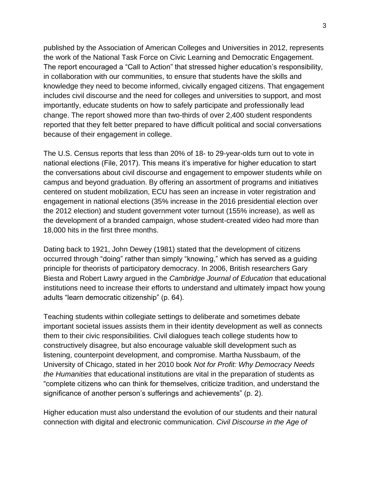published by the Association of American Colleges and Universities in 2012, represents the work of the National Task Force on Civic Learning and Democratic Engagement. The report encouraged a "Call to Action" that stressed higher education's responsibility, in collaboration with our communities, to ensure that students have the skills and knowledge they need to become informed, civically engaged citizens. That engagement includes civil discourse and the need for colleges and universities to support, and most importantly, educate students on how to safely participate and professionally lead change. The report showed more than two-thirds of over 2,400 student respondents reported that they felt better prepared to have difficult political and social conversations because of their engagement in college.

The U.S. Census reports that less than 20% of 18- to 29-year-olds turn out to vote in national elections (File, 2017). This means it's imperative for higher education to start the conversations about civil discourse and engagement to empower students while on campus and beyond graduation. By offering an assortment of programs and initiatives centered on student mobilization, ECU has seen an increase in voter registration and engagement in national elections (35% increase in the 2016 presidential election over the 2012 election) and student government voter turnout (155% increase), as well as the development of a branded campaign, whose student-created video had more than 18,000 hits in the first three months.

Dating back to 1921, John Dewey (1981) stated that the development of citizens occurred through "doing" rather than simply "knowing," which has served as a guiding principle for theorists of participatory democracy. In 2006, British researchers Gary Biesta and Robert Lawry argued in the *Cambridge Journal of Education* that educational institutions need to increase their efforts to understand and ultimately impact how young adults "learn democratic citizenship" (p. 64).

Teaching students within collegiate settings to deliberate and sometimes debate important societal issues assists them in their identity development as well as connects them to their civic responsibilities. Civil dialogues teach college students how to constructively disagree, but also encourage valuable skill development such as listening, counterpoint development, and compromise. Martha Nussbaum, of the University of Chicago, stated in her 2010 book *Not for Profit: Why Democracy Needs the Humanities* that educational institutions are vital in the preparation of students as "complete citizens who can think for themselves, criticize tradition, and understand the significance of another person's sufferings and achievements" (p. 2).

Higher education must also understand the evolution of our students and their natural connection with digital and electronic communication. *Civil Discourse in the Age of*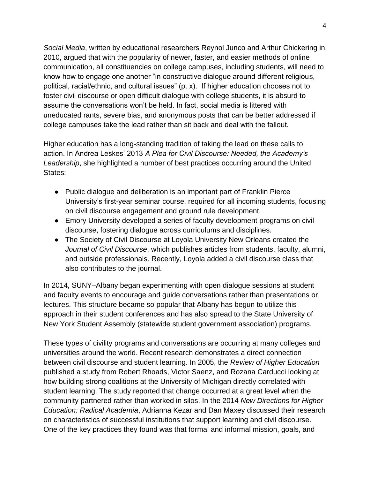*Social Media*, written by educational researchers Reynol Junco and Arthur Chickering in 2010, argued that with the popularity of newer, faster, and easier methods of online communication, all constituencies on college campuses, including students, will need to know how to engage one another "in constructive dialogue around different religious, political, racial/ethnic, and cultural issues" (p. x). If higher education chooses not to foster civil discourse or open difficult dialogue with college students, it is absurd to assume the conversations won't be held. In fact, social media is littered with uneducated rants, severe bias, and anonymous posts that can be better addressed if college campuses take the lead rather than sit back and deal with the fallout.

Higher education has a long-standing tradition of taking the lead on these calls to action. In Andrea Leskes' 2013 *A Plea for Civil Discourse: Needed, the Academy's Leadership*, she highlighted a number of best practices occurring around the United States:

- Public dialogue and deliberation is an important part of Franklin Pierce University's first-year seminar course, required for all incoming students, focusing on civil discourse engagement and ground rule development.
- Emory University developed a series of faculty development programs on civil discourse, fostering dialogue across curriculums and disciplines.
- The Society of Civil Discourse at Loyola University New Orleans created the *Journal of Civil Discourse*, which publishes articles from students, faculty, alumni, and outside professionals. Recently, Loyola added a civil discourse class that also contributes to the journal.

In 2014, SUNY–Albany began experimenting with open dialogue sessions at student and faculty events to encourage and guide conversations rather than presentations or lectures. This structure became so popular that Albany has begun to utilize this approach in their student conferences and has also spread to the State University of New York Student Assembly (statewide student government association) programs.

These types of civility programs and conversations are occurring at many colleges and universities around the world. Recent research demonstrates a direct connection between civil discourse and student learning. In 2005, the *Review of Higher Education* published a study from Robert Rhoads, Victor Saenz, and Rozana Carducci looking at how building strong coalitions at the University of Michigan directly correlated with student learning. The study reported that change occurred at a great level when the community partnered rather than worked in silos. In the 2014 *New Directions for Higher Education: Radical Academia*, Adrianna Kezar and Dan Maxey discussed their research on characteristics of successful institutions that support learning and civil discourse. One of the key practices they found was that formal and informal mission, goals, and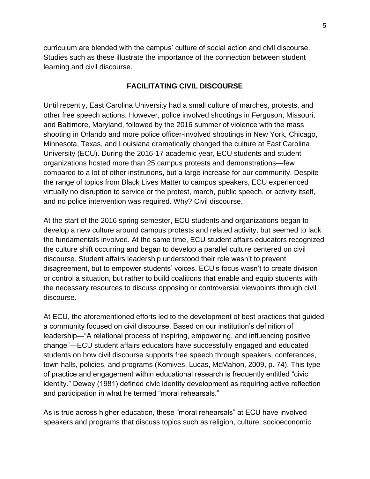curriculum are blended with the campus' culture of social action and civil discourse. Studies such as these illustrate the importance of the connection between student learning and civil discourse.

## **FACILITATING CIVIL DISCOURSE**

Until recently, East Carolina University had a small culture of marches, protests, and other free speech actions. However, police involved shootings in Ferguson, Missouri, and Baltimore, Maryland, followed by the 2016 summer of violence with the mass shooting in Orlando and more police officer-involved shootings in New York, Chicago, Minnesota, Texas, and Louisiana dramatically changed the culture at East Carolina University (ECU). During the 2016-17 academic year, ECU students and student organizations hosted more than 25 campus protests and demonstrations—few compared to a lot of other institutions, but a large increase for our community. Despite the range of topics from Black Lives Matter to campus speakers, ECU experienced virtually no disruption to service or the protest, march, public speech, or activity itself, and no police intervention was required. Why? Civil discourse.

At the start of the 2016 spring semester, ECU students and organizations began to develop a new culture around campus protests and related activity, but seemed to lack the fundamentals involved. At the same time, ECU student affairs educators recognized the culture shift occurring and began to develop a parallel culture centered on civil discourse. Student affairs leadership understood their role wasn't to prevent disagreement, but to empower students' voices. ECU's focus wasn't to create division or control a situation, but rather to build coalitions that enable and equip students with the necessary resources to discuss opposing or controversial viewpoints through civil discourse.

At ECU, the aforementioned efforts led to the development of best practices that guided a community focused on civil discourse. Based on our institution's definition of leadership—"A relational process of inspiring, empowering, and influencing positive change"—ECU student affairs educators have successfully engaged and educated students on how civil discourse supports free speech through speakers, conferences, town halls, policies, and programs (Komives, Lucas, McMahon, 2009, p. 74). This type of practice and engagement within educational research is frequently entitled "civic identity." Dewey (1981) defined civic identity development as requiring active reflection and participation in what he termed "moral rehearsals."

As is true across higher education, these "moral rehearsals" at ECU have involved speakers and programs that discuss topics such as religion, culture, socioeconomic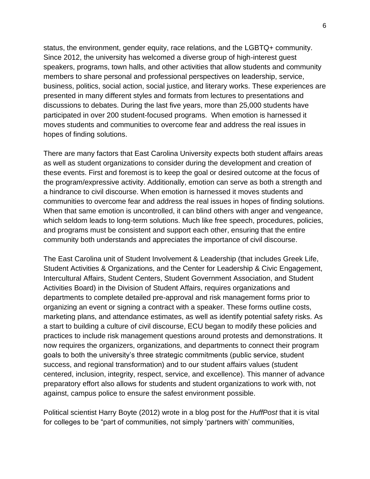status, the environment, gender equity, race relations, and the LGBTQ+ community. Since 2012, the university has welcomed a diverse group of high-interest guest speakers, programs, town halls, and other activities that allow students and community members to share personal and professional perspectives on leadership, service, business, politics, social action, social justice, and literary works. These experiences are presented in many different styles and formats from lectures to presentations and discussions to debates. During the last five years, more than 25,000 students have participated in over 200 student-focused programs. When emotion is harnessed it moves students and communities to overcome fear and address the real issues in hopes of finding solutions.

There are many factors that East Carolina University expects both student affairs areas as well as student organizations to consider during the development and creation of these events. First and foremost is to keep the goal or desired outcome at the focus of the program/expressive activity. Additionally, emotion can serve as both a strength and a hindrance to civil discourse. When emotion is harnessed it moves students and communities to overcome fear and address the real issues in hopes of finding solutions. When that same emotion is uncontrolled, it can blind others with anger and vengeance, which seldom leads to long-term solutions. Much like free speech, procedures, policies, and programs must be consistent and support each other, ensuring that the entire community both understands and appreciates the importance of civil discourse.

The East Carolina unit of Student Involvement & Leadership (that includes Greek Life, Student Activities & Organizations, and the Center for Leadership & Civic Engagement, Intercultural Affairs, Student Centers, Student Government Association, and Student Activities Board) in the Division of Student Affairs, requires organizations and departments to complete detailed pre-approval and risk management forms prior to organizing an event or signing a contract with a speaker. These forms outline costs, marketing plans, and attendance estimates, as well as identify potential safety risks. As a start to building a culture of civil discourse, ECU began to modify these policies and practices to include risk management questions around protests and demonstrations. It now requires the organizers, organizations, and departments to connect their program goals to both the university's three strategic commitments (public service, student success, and regional transformation) and to our student affairs values (student centered, inclusion, integrity, respect, service, and excellence). This manner of advance preparatory effort also allows for students and student organizations to work with, not against, campus police to ensure the safest environment possible.

Political scientist Harry Boyte (2012) wrote in a blog post for the *HuffPost* that it is vital for colleges to be "part of communities, not simply 'partners with' communities,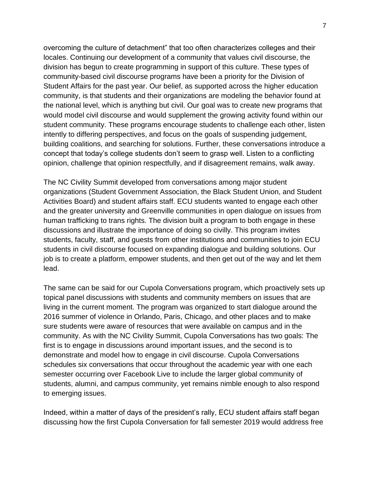overcoming the culture of detachment" that too often characterizes colleges and their locales. Continuing our development of a community that values civil discourse, the division has begun to create programming in support of this culture. These types of community-based civil discourse programs have been a priority for the Division of Student Affairs for the past year. Our belief, as supported across the higher education community, is that students and their organizations are modeling the behavior found at the national level, which is anything but civil. Our goal was to create new programs that would model civil discourse and would supplement the growing activity found within our student community. These programs encourage students to challenge each other, listen intently to differing perspectives, and focus on the goals of suspending judgement, building coalitions, and searching for solutions. Further, these conversations introduce a concept that today's college students don't seem to grasp well. Listen to a conflicting opinion, challenge that opinion respectfully, and if disagreement remains, walk away.

The NC Civility Summit developed from conversations among major student organizations (Student Government Association, the Black Student Union, and Student Activities Board) and student affairs staff. ECU students wanted to engage each other and the greater university and Greenville communities in open dialogue on issues from human trafficking to trans rights. The division built a program to both engage in these discussions and illustrate the importance of doing so civilly. This program invites students, faculty, staff, and guests from other institutions and communities to join ECU students in civil discourse focused on expanding dialogue and building solutions. Our job is to create a platform, empower students, and then get out of the way and let them lead.

The same can be said for our Cupola Conversations program, which proactively sets up topical panel discussions with students and community members on issues that are living in the current moment. The program was organized to start dialogue around the 2016 summer of violence in Orlando, Paris, Chicago, and other places and to make sure students were aware of resources that were available on campus and in the community. As with the NC Civility Summit, Cupola Conversations has two goals: The first is to engage in discussions around important issues, and the second is to demonstrate and model how to engage in civil discourse. Cupola Conversations schedules six conversations that occur throughout the academic year with one each semester occurring over Facebook Live to include the larger global community of students, alumni, and campus community, yet remains nimble enough to also respond to emerging issues.

Indeed, within a matter of days of the president's rally, ECU student affairs staff began discussing how the first Cupola Conversation for fall semester 2019 would address free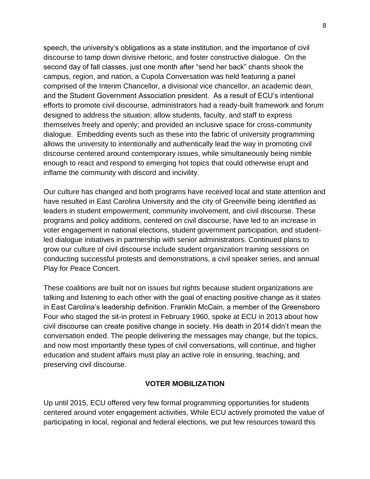speech, the university's obligations as a state institution, and the importance of civil discourse to tamp down divisive rhetoric, and foster constructive dialogue. On the second day of fall classes, just one month after "send her back" chants shook the campus, region, and nation, a Cupola Conversation was held featuring a panel comprised of the Interim Chancellor, a divisional vice chancellor, an academic dean, and the Student Government Association president. As a result of ECU's intentional efforts to promote civil discourse, administrators had a ready-built framework and forum designed to address the situation; allow students, faculty, and staff to express themselves freely and openly; and provided an inclusive space for cross-community dialogue. Embedding events such as these into the fabric of university programming allows the university to intentionally and authentically lead the way in promoting civil discourse centered around contemporary issues, while simultaneously being nimble enough to react and respond to emerging hot topics that could otherwise erupt and inflame the community with discord and incivility.

Our culture has changed and both programs have received local and state attention and have resulted in East Carolina University and the city of Greenville being identified as leaders in student empowerment, community involvement, and civil discourse. These programs and policy additions, centered on civil discourse, have led to an increase in voter engagement in national elections, student government participation, and studentled dialogue initiatives in partnership with senior administrators. Continued plans to grow our culture of civil discourse include student organization training sessions on conducting successful protests and demonstrations, a civil speaker series, and annual Play for Peace Concert.

These coalitions are built not on issues but rights because student organizations are talking and listening to each other with the goal of enacting positive change as it states in East Carolina's leadership definition. Franklin McCain, a member of the Greensboro Four who staged the sit-in protest in February 1960, spoke at ECU in 2013 about how civil discourse can create positive change in society. His death in 2014 didn't mean the conversation ended. The people delivering the messages may change, but the topics, and now most importantly these types of civil conversations, will continue, and higher education and student affairs must play an active role in ensuring, teaching, and preserving civil discourse.

#### **VOTER MOBILIZATION**

Up until 2015, ECU offered very few formal programming opportunities for students centered around voter engagement activities. While ECU actively promoted the value of participating in local, regional and federal elections, we put few resources toward this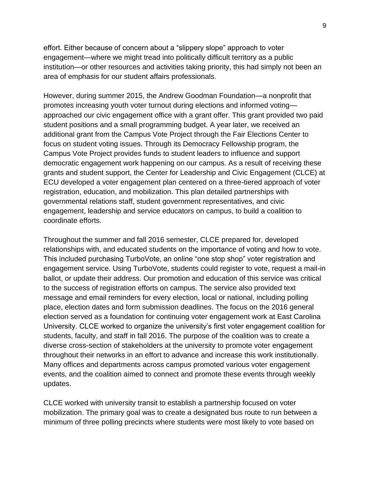effort. Either because of concern about a "slippery slope" approach to voter engagement—where we might tread into politically difficult territory as a public institution—or other resources and activities taking priority, this had simply not been an area of emphasis for our student affairs professionals.

However, during summer 2015, the Andrew Goodman Foundation—a nonprofit that promotes increasing youth voter turnout during elections and informed voting approached our civic engagement office with a grant offer. This grant provided two paid student positions and a small programming budget. A year later, we received an additional grant from the Campus Vote Project through the Fair Elections Center to focus on student voting issues. Through its Democracy Fellowship program, the Campus Vote Project provides funds to student leaders to influence and support democratic engagement work happening on our campus. As a result of receiving these grants and student support, the Center for Leadership and Civic Engagement (CLCE) at ECU developed a voter engagement plan centered on a three-tiered approach of voter registration, education, and mobilization. This plan detailed partnerships with governmental relations staff, student government representatives, and civic engagement, leadership and service educators on campus, to build a coalition to coordinate efforts.

Throughout the summer and fall 2016 semester, CLCE prepared for, developed relationships with, and educated students on the importance of voting and how to vote. This included purchasing TurboVote, an online "one stop shop" voter registration and engagement service. Using TurboVote, students could register to vote, request a mail-in ballot, or update their address. Our promotion and education of this service was critical to the success of registration efforts on campus. The service also provided text message and email reminders for every election, local or national, including polling place, election dates and form submission deadlines. The focus on the 2016 general election served as a foundation for continuing voter engagement work at East Carolina University. CLCE worked to organize the university's first voter engagement coalition for students, faculty, and staff in fall 2016. The purpose of the coalition was to create a diverse cross-section of stakeholders at the university to promote voter engagement throughout their networks in an effort to advance and increase this work institutionally. Many offices and departments across campus promoted various voter engagement events, and the coalition aimed to connect and promote these events through weekly updates.

CLCE worked with university transit to establish a partnership focused on voter mobilization. The primary goal was to create a designated bus route to run between a minimum of three polling precincts where students were most likely to vote based on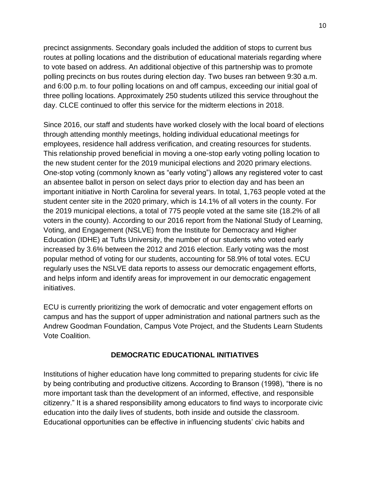precinct assignments. Secondary goals included the addition of stops to current bus routes at polling locations and the distribution of educational materials regarding where to vote based on address. An additional objective of this partnership was to promote polling precincts on bus routes during election day. Two buses ran between 9:30 a.m. and 6:00 p.m. to four polling locations on and off campus, exceeding our initial goal of three polling locations. Approximately 250 students utilized this service throughout the day. CLCE continued to offer this service for the midterm elections in 2018.

Since 2016, our staff and students have worked closely with the local board of elections through attending monthly meetings, holding individual educational meetings for employees, residence hall address verification, and creating resources for students. This relationship proved beneficial in moving a one-stop early voting polling location to the new student center for the 2019 municipal elections and 2020 primary elections. One-stop voting (commonly known as "early voting") allows any registered voter to cast an absentee ballot in person on select days prior to election day and has been an important initiative in North Carolina for several years. In total, 1,763 people voted at the student center site in the 2020 primary, which is 14.1% of all voters in the county. For the 2019 municipal elections, a total of 775 people voted at the same site (18.2% of all voters in the county). According to our 2016 report from the National Study of Learning, Voting, and Engagement (NSLVE) from the Institute for Democracy and Higher Education (IDHE) at Tufts University, the number of our students who voted early increased by 3.6% between the 2012 and 2016 election. Early voting was the most popular method of voting for our students, accounting for 58.9% of total votes. ECU regularly uses the NSLVE data reports to assess our democratic engagement efforts, and helps inform and identify areas for improvement in our democratic engagement initiatives.

ECU is currently prioritizing the work of democratic and voter engagement efforts on campus and has the support of upper administration and national partners such as the Andrew Goodman Foundation, Campus Vote Project, and the Students Learn Students Vote Coalition.

# **DEMOCRATIC EDUCATIONAL INITIATIVES**

Institutions of higher education have long committed to preparing students for civic life by being contributing and productive citizens. According to Branson (1998), "there is no more important task than the development of an informed, effective, and responsible citizenry." It is a shared responsibility among educators to find ways to incorporate civic education into the daily lives of students, both inside and outside the classroom. Educational opportunities can be effective in influencing students' civic habits and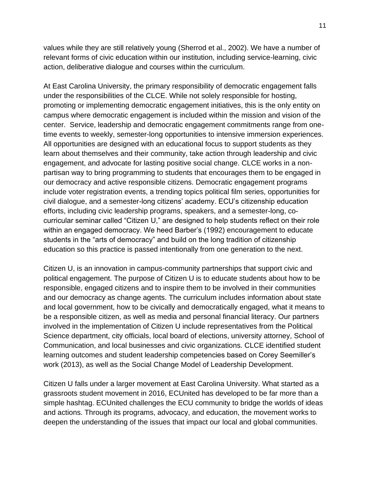values while they are still relatively young (Sherrod et al., 2002). We have a number of relevant forms of civic education within our institution, including service-learning, civic action, deliberative dialogue and courses within the curriculum.

At East Carolina University, the primary responsibility of democratic engagement falls under the responsibilities of the CLCE. While not solely responsible for hosting, promoting or implementing democratic engagement initiatives, this is the only entity on campus where democratic engagement is included within the mission and vision of the center. Service, leadership and democratic engagement commitments range from onetime events to weekly, semester-long opportunities to intensive immersion experiences. All opportunities are designed with an educational focus to support students as they learn about themselves and their community, take action through leadership and civic engagement, and advocate for lasting positive social change. CLCE works in a nonpartisan way to bring programming to students that encourages them to be engaged in our democracy and active responsible citizens. Democratic engagement programs include voter registration events, a trending topics political film series, opportunities for civil dialogue, and a semester-long citizens' academy. ECU's citizenship education efforts, including civic leadership programs, speakers, and a semester-long, cocurricular seminar called "Citizen U," are designed to help students reflect on their role within an engaged democracy. We heed Barber's (1992) encouragement to educate students in the "arts of democracy" and build on the long tradition of citizenship education so this practice is passed intentionally from one generation to the next.

Citizen U, is an innovation in campus-community partnerships that support civic and political engagement. The purpose of Citizen U is to educate students about how to be responsible, engaged citizens and to inspire them to be involved in their communities and our democracy as change agents. The curriculum includes information about state and local government, how to be civically and democratically engaged, what it means to be a responsible citizen, as well as media and personal financial literacy. Our partners involved in the implementation of Citizen U include representatives from the Political Science department, city officials, local board of elections, university attorney, School of Communication, and local businesses and civic organizations. CLCE identified student learning outcomes and student leadership competencies based on Corey Seemiller's work (2013), as well as the Social Change Model of Leadership Development.

Citizen U falls under a larger movement at East Carolina University. What started as a grassroots student movement in 2016, ECUnited has developed to be far more than a simple hashtag. ECUnited challenges the ECU community to bridge the worlds of ideas and actions. Through its programs, advocacy, and education, the movement works to deepen the understanding of the issues that impact our local and global communities.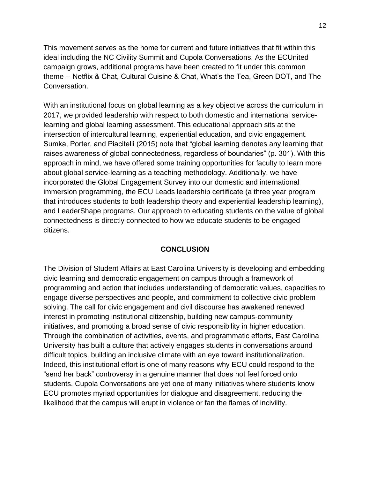This movement serves as the home for current and future initiatives that fit within this ideal including the NC Civility Summit and Cupola Conversations. As the ECUnited campaign grows, additional programs have been created to fit under this common theme -- Netflix & Chat, Cultural Cuisine & Chat, What's the Tea, Green DOT, and The Conversation.

With an institutional focus on global learning as a key objective across the curriculum in 2017, we provided leadership with respect to both domestic and international servicelearning and global learning assessment. This educational approach sits at the intersection of intercultural learning, experiential education, and civic engagement. Sumka, Porter, and Piacitelli (2015) note that "global learning denotes any learning that raises awareness of global connectedness, regardless of boundaries" (p. 301). With this approach in mind, we have offered some training opportunities for faculty to learn more about global service-learning as a teaching methodology. Additionally, we have incorporated the Global Engagement Survey into our domestic and international immersion programming, the ECU Leads leadership certificate (a three year program that introduces students to both leadership theory and experiential leadership learning), and LeaderShape programs. Our approach to educating students on the value of global connectedness is directly connected to how we educate students to be engaged citizens.

### **CONCLUSION**

The Division of Student Affairs at East Carolina University is developing and embedding civic learning and democratic engagement on campus through a framework of programming and action that includes understanding of democratic values, capacities to engage diverse perspectives and people, and commitment to collective civic problem solving. The call for civic engagement and civil discourse has awakened renewed interest in promoting institutional citizenship, building new campus-community initiatives, and promoting a broad sense of civic responsibility in higher education. Through the combination of activities, events, and programmatic efforts, East Carolina University has built a culture that actively engages students in conversations around difficult topics, building an inclusive climate with an eye toward institutionalization. Indeed, this institutional effort is one of many reasons why ECU could respond to the "send her back" controversy in a genuine manner that does not feel forced onto students. Cupola Conversations are yet one of many initiatives where students know ECU promotes myriad opportunities for dialogue and disagreement, reducing the likelihood that the campus will erupt in violence or fan the flames of incivility.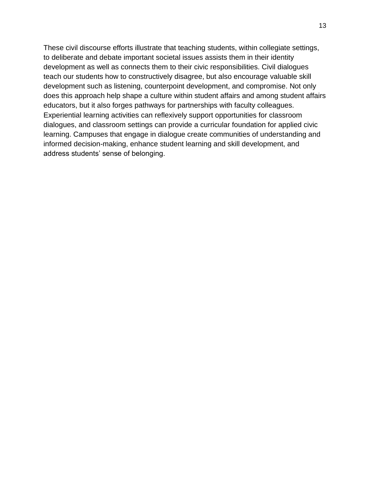These civil discourse efforts illustrate that teaching students, within collegiate settings, to deliberate and debate important societal issues assists them in their identity development as well as connects them to their civic responsibilities. Civil dialogues teach our students how to constructively disagree, but also encourage valuable skill development such as listening, counterpoint development, and compromise. Not only does this approach help shape a culture within student affairs and among student affairs educators, but it also forges pathways for partnerships with faculty colleagues. Experiential learning activities can reflexively support opportunities for classroom dialogues, and classroom settings can provide a curricular foundation for applied civic learning. Campuses that engage in dialogue create communities of understanding and informed decision-making, enhance student learning and skill development, and address students' sense of belonging.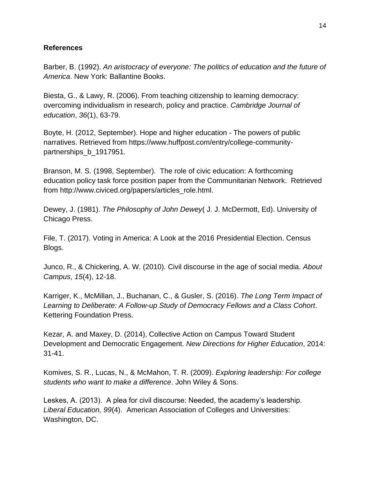## **References**

Barber, B. (1992). *An aristocracy of everyone: The politics of education and the future of America*. New York: Ballantine Books.

Biesta, G., & Lawy, R. (2006). From teaching citizenship to learning democracy: overcoming individualism in research, policy and practice. *Cambridge Journal of education*, *36*(1), 63-79.

Boyte, H. (2012, September). Hope and higher education - The powers of public narratives. Retrieved from https://www.huffpost.com/entry/college-communitypartnerships\_b\_1917951.

Branson, M. S. (1998, September). The role of civic education: A forthcoming education policy task force position paper from the Communitarian Network. Retrieved from http://www.civiced.org/papers/articles\_role.html.

Dewey, J. (1981). *The Philosophy of John Dewey*( J. J. McDermott, Ed). University of Chicago Press.

File, T. (2017). Voting in America: A Look at the 2016 Presidential Election. Census Blogs.

Junco, R., & Chickering, A. W. (2010). Civil discourse in the age of social media. *About Campus*, *15*(4), 12-18.

Karriger, K., McMillan, J., Buchanan, C., & Gusler, S. (2016). *The Long Term Impact of Learning to Deliberate: A Follow-up Study of Democracy Fellows and a Class Cohort*. Kettering Foundation Press.

Kezar, A. and Maxey, D. (2014), Collective Action on Campus Toward Student Development and Democratic Engagement. *New Directions for Higher Education*, 2014: 31-41.

Komives, S. R., Lucas, N., & McMahon, T. R. (2009). *Exploring leadership: For college students who want to make a difference*. John Wiley & Sons.

Leskes, A. (2013). A plea for civil discourse: Needed, the academy's leadership. *Liberal Education, 99*(4). American Association of Colleges and Universities: Washington, DC.